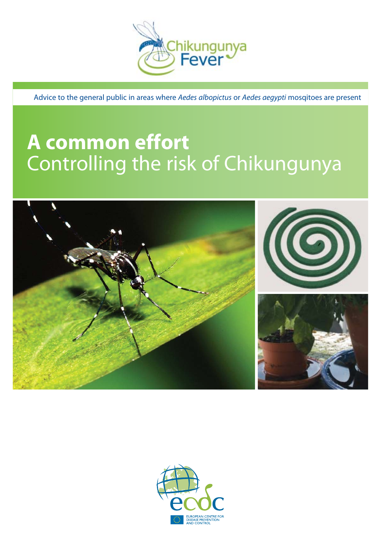

Advice to the general public in areas where Aedes albopictus or Aedes aegypti mosqitoes are present

# **A common effort** Controlling the risk of Chikungunya



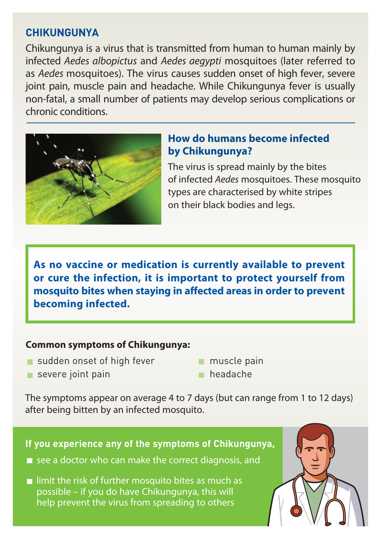# **CHIKUNGUNYA**

Chikungunya is a virus that is transmitted from human to human mainly by infected Aedes albopictus and Aedes aegypti mosquitoes (later referred to as Aedes mosquitoes). The virus causes sudden onset of high fever, severe joint pain, muscle pain and headache. While Chikungunya fever is usually non-fatal, a small number of patients may develop serious complications or chronic conditions.



# **How do humans become infected by Chikungunya?**

The virus is spread mainly by the bites of infected Aedes mosquitoes. These mosquito types are characterised by white stripes on their black bodies and legs.

**As no vaccine or medication is currently available to prevent or cure the infection, it is important to protect yourself from mosquito bites when staying in affected areas in order to prevent becoming infected.** 

#### **Common symptoms of Chikungunya:**

- sudden onset of high fever
- muscle pain

severe joint pain

headache

The symptoms appear on average 4 to 7 days (but can range from 1 to 12 days) after being bitten by an infected mosquito.

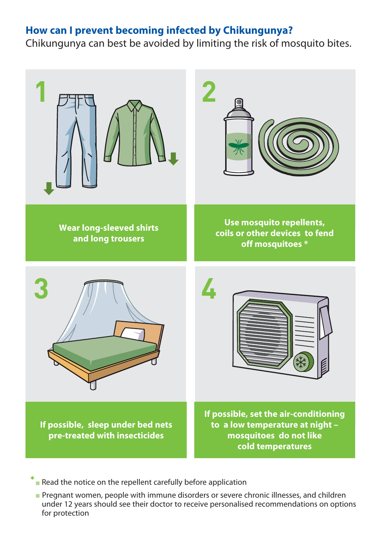## **How can I prevent becoming infected by Chikungunya?**

Chikungunya can best be avoided by limiting the risk of mosquito bites.



Read the notice on the repellent carefully before application **\***

**Pregnant women, people with immune disorders or severe chronic illnesses, and children** under 12 years should see their doctor to receive personalised recommendations on options for protection